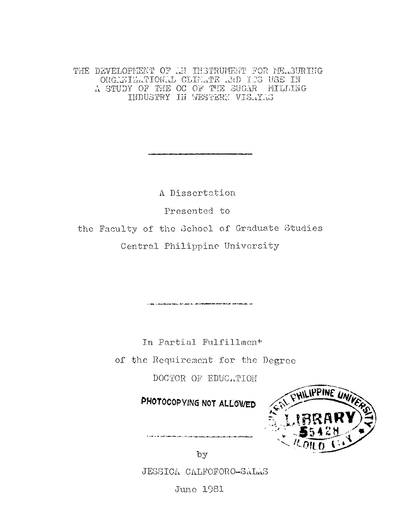THE DEVELOPMENT OF AN INSTRUMENT FOR MEASURING ORGANIZATIONAL CLIMATE AND ITS USE IN A STUDY OF THE OC OF THE SUGAR MILLING INDUSTRY IN WESTERN VISAYAS

A Dissertation

Presented to

the Faculty of the School of Graduate Studies Central Philippine University

In Partial Fulfillmen<sup>+</sup>

.<br>בנו המבינה של המוני השנים לבדור משפח המונים המונים בין המונים בין המונים בין המונים המונים של המונים בין המוני

of the Requirement for the Degree

DOCTOR OF EDUCATION

PHOTOCOPYING NOT ALLOWED



by

JESSICA CALFOFORO-SALAS

Juno 1981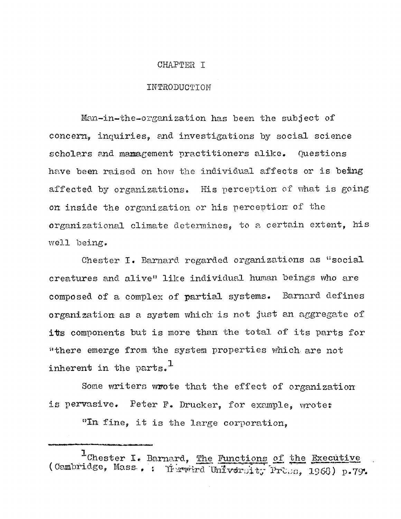## CHAPTER I

## INTRODUCTION

Man-in-the-organization has been the subject of concern, inquiries, and investigations by social science scholars and management practitioners alike. Questions have been raised on how the individual affects or is being affected by organizations. His perception of what is going on inside the organization or his perception of the organizational climate determines, to a certain extent, his well being.

Chester I. Barnard regarded organizations as "social creatures and alive" like individual human beings who are composed of a complex of partial systems. Barnard defines organization as a system which is not just an aggregate of its components but is more than the total of its parts for "there emerge from the system properties which are not 1 inherent in the parts.

Some writers wrote that the effect of organization is pervasive. Peter F. Drucker, for example, wrote:

"In fine, it is the large corporation,

1 Chester I. Barnard, The Functions of the Executive (Cambridge, Mass., : Herrird University Press, 1968) p.79.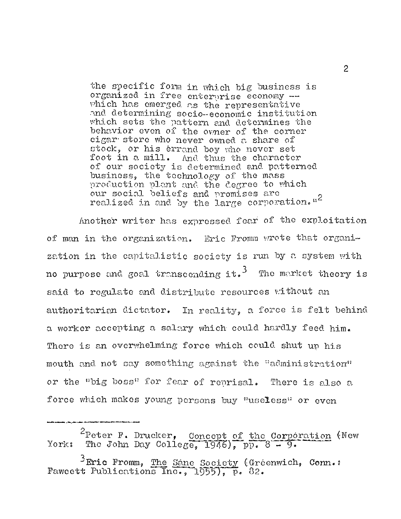the specific form in which big business is organized in free enterprise economy which has emerged as the representative and determining socio-economic institution which sets the pattern and determines the behavior even of the owner of the corner cigar store who never owned a share of stock, or his errand boy who never set foot in a mill. And thus the character of our society is determined and patterned business, the technology of the mass production plant and the degree to which our social beliefs and promises are realized in and by the large corporation."<sup>2</sup>

Another writer has expressed fear of the exploitation of man in the organization. Eric Fromm wrote that organization in the capitalistic society is run by a system with no purpose and goal transcending it.<sup>3</sup> The market theory is said to regulate and distribute resources without an authoritarian dictator. In reality, a force is felt behind a worker accepting a salary which could hardly feed him. There is an overwhelming force which could shut up his mouth and not say something against the "administration" or the "big boss" for fear of reprisal. There is also a force which makes young persons buy "useless" or even

<sup>2</sup>Peter F. Drucker, Concept of the Corporation (New York: The John Day College, 1946), pp.  $8 - 9$ .

<sup>3</sup>Eric Fromm, The Sane Society (Gréenwich, Conn.:<br>Fawcett Publications Inc., 1955), p. 82.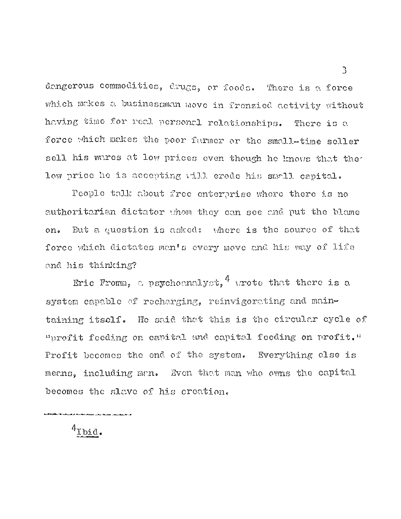dangerous commodities, drugs, or foods. There is a force which makes a businessman move in frenzied activity without having time for real personal relationships. There is a force which makes the poor farmer or the small-time seller sell his wares at low prices even though he knows that the low price he is accepting will erode his small capital.

People talk about free enterprise where there is no authoritarian dictator whom they can see and put the blame on. But a question is asked: where is the source of that force which dictates man's every move and his way of life and his thinking?

Eric Fromm, a psychoanalyst,  $^4$  wrote that there is a system capable of recharging, reinvigorating and maintaining itself. He said that this is the circular cycle of "profit feeding on capital, and capital feeding on profit." Profit becomes the end of the system. Everything else is means, including man. Even that man who owns the capital becomes the slave of his creation.

 $4$ I bid.

ر<br>الرابط المطار بطول الطور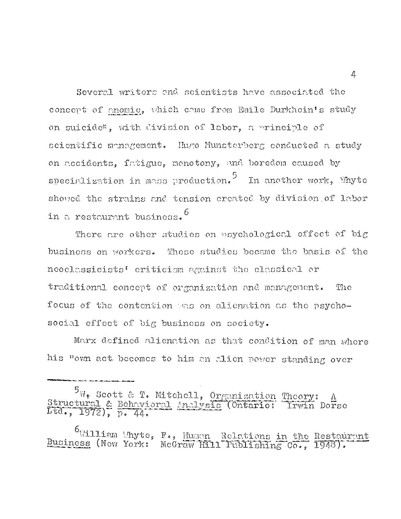Several writers and scientists have associated the concept of anomie, which come from Emile Durkhein's study on suicide\*, with division of labor, a principle of scientific management. Hugo Munsterberg conducted a study on accidents, fatigue, monotony, and boredom caused by specialization in mass production.<sup>5</sup> In another work, Whyte showed the strains and tension created by division of labor in a restaurant business.

There are other studies on psychological effect of big business on workers. These studies became the basis of the neoclassicists' criticism against the classical or traditional concept of organization and management. The focus of the contention was on alienation as the psychosocial effect of big business on society.

Marx defined alienation as that condition of man where his "own act. becomes to him an alien power standing over

 $\ast$  Scott & T. Mitchell, Organization Theory: A  $\varepsilon$  Behavioral Analysis (Ontario: Irwin Dorse L t d ., 1972), p. 44.

 $\overline{6}$ William Whyte, F., Human Relations in the Restaurant Business (New York: McGraw Hill Publishing Co., 1948).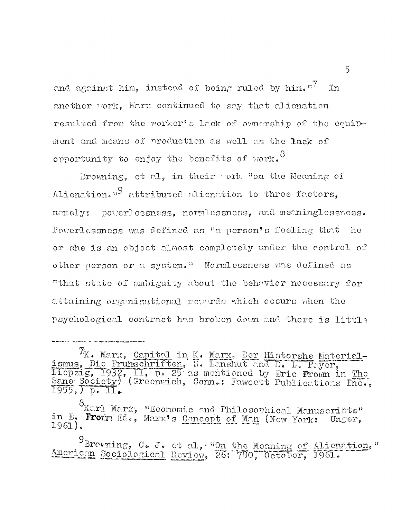and against him, instead of being ruled by him.  $T$  In another work. Marx continued to say that alienation resulted from the worker's lack of ownership of the equipment and means of production as well as the lack of 8 opportunity to enjoy the benefits of work.

Browning, et al, in their work "on the Meaning of Alienation."<sup>9</sup> attributed alienation to three factors, namely: powerlessness, normlessness, and meaninglessness. Powerlessness was defined as "a person's feeling that he or she is an object almost completely under the control of other person or a system." Normlessness was defined as "that state of ambiguity about the behavior necessary for attaining organisational rewards which occurs when the psychological contract has broken down and. there is little

 $\mathcal{T}_{\mathbf{K}}$ . Marx, Capital in K. Marx, Der Historshe Materialismus, Die Fruhschriften, S. Lanshut and D. L. Payer Liepzig, 1932, II, p. 25 as mentioned by Eric Fromn in The Sane Society) (Greenwich, Conn.: Fawcett Publications Inc., 1955,) p. ll.

g Karl Marx, "Economic and Philosophical Manuscripts" in E. From Ed., Marx's Concept of Man (New York: Unger, 1961).

Browning, C. J. et al, "On the Meaning of Alienation," American Sociological Review, 26: 780, October, 1961. 9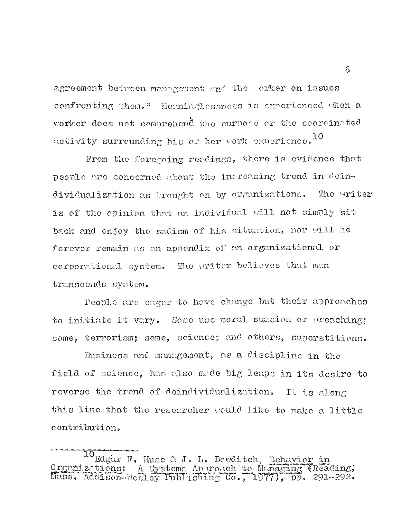agreement between management and the orker on issues confronting them." Meeninglessness is experienced when a worker does not comprehend the purpose or the coordinated activity surrounding his or her work experience.  $^{10}$ 

From the foregoing readings, there is evidence that people are concerned about the increasing trend in deindividualization as brought on by organizations. The writer is of the opinion that an individual will not simply sit back and enjoy the sadism of his situation, nor will he forever remain as an appendix of an organizational or corporational system. The writer believes that man transcends system.

People are eager to hove change but their approaches to initiate it vary. Some use moral suasion or preaching; some, terrorism; some, science; and others, superstitions.

Business and management, as a discipline in the field of science, has also made big leaps in its desire to reverse the trend of deindividualization. It is along this line that the researcher would like to make a little contribution.

<sup>10</sup> Edgar F. Huse & J. L. Bowditch, Behavior in  $0$ rganizations: A Systems Approach to Managing (Reading, M a s s, Addison-Wesley Publishing Co., 1 9 7 7), pp. 291-292.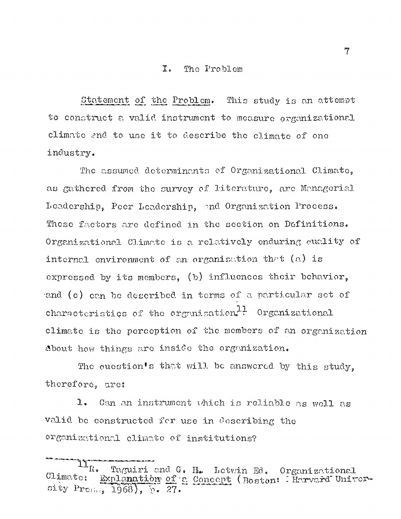## I. The Problem

Statement of the Problem. This study is an attempt to construct a valid instrument to measure organizational climate and to use it to describe the climate of one industry.

The assumed determinants of Organizational Climate, as gathered from the survey of literature, arc Managerial Leadership, Peer Leadership, and Organization Process. These factors arc defined in the section on Definitions. Organizational Climate is a relatively enduring quality of internal environment of an organization that  $(a)$  is expressed by its members, (b) influences their behavior, and (c) can be described in terms of a particular set of characteristics of the organization $11$  Organizational climate is the perception of the members of an organization about how things are inside the organization.

The question's that will be answered by this study, therefore, are:

1. Can an instrument which is reliable as well as valid be constructed for use in describing the organizational climate of institutions?

<sup>11</sup>R. Taguiri and G. H. Letwin Ed. Organizational Climate: Explanation of a Concept (Boston: Harvard University  $Pr_{C_{1},...,C_{n}}$  1968), p. 27.